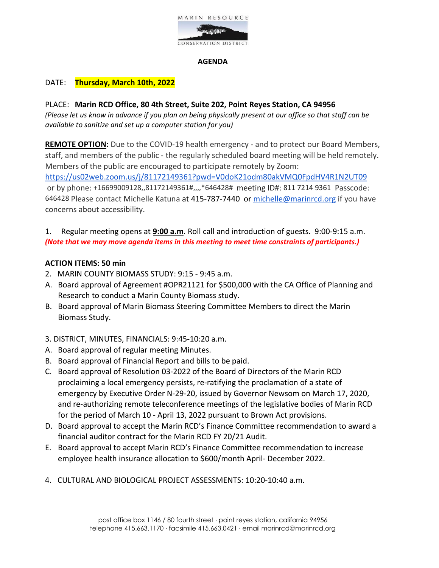

### **AGENDA**

# DATE: **Thursday, March 10th, 2022**

## PLACE: **Marin RCD Office, 80 4th Street, Suite 202, Point Reyes Station, CA 94956**

*(Please let us know in advance if you plan on being physically present at our office so that staff can be available to sanitize and set up a computer station for you)*

**REMOTE OPTION:** Due to the COVID-19 health emergency - and to protect our Board Members, staff, and members of the public - the regularly scheduled board meeting will be held remotely. Members of the public are encouraged to participate remotely by Zoom[:](https://us02web.zoom.us/j/85806950980)  <https://us02web.zoom.us/j/81172149361?pwd=V0doK21odm80akVMQ0FpdHV4R1N2UT09> or by phone: +16699009128,,81172149361#,,,,\*646428# meeting ID#: 811 7214 9361 Passcode: 646428 Please contact Michelle Katuna at 415-787-7440 or [michelle@marinrcd.org](mailto:michelle@marinrcd.org) if you have concerns about accessibility.

1. Regular meeting opens at **9:00 a.m**. Roll call and introduction of guests. 9:00-9:15 a.m. *(Note that we may move agenda items in this meeting to meet time constraints of participants.)*

### **ACTION ITEMS: 50 min**

- 2. MARIN COUNTY BIOMASS STUDY: 9:15 9:45 a.m.
- A. Board approval of Agreement #OPR21121 for \$500,000 with the CA Office of Planning and Research to conduct a Marin County Biomass study.
- B. Board approval of Marin Biomass Steering Committee Members to direct the Marin Biomass Study.
- 3. DISTRICT, MINUTES, FINANCIALS: 9:45-10:20 a.m.
- A. Board approval of regular meeting Minutes.
- B. Board approval of Financial Report and bills to be paid.
- C. Board approval of Resolution 03-2022 of the Board of Directors of the Marin RCD proclaiming a local emergency persists, re-ratifying the proclamation of a state of emergency by Executive Order N-29-20, issued by Governor Newsom on March 17, 2020, and re-authorizing remote teleconference meetings of the legislative bodies of Marin RCD for the period of March 10 - April 13, 2022 pursuant to Brown Act provisions.
- D. Board approval to accept the Marin RCD's Finance Committee recommendation to award a financial auditor contract for the Marin RCD FY 20/21 Audit.
- E. Board approval to accept Marin RCD's Finance Committee recommendation to increase employee health insurance allocation to \$600/month April- December 2022.
- 4. CULTURAL AND BIOLOGICAL PROJECT ASSESSMENTS: 10:20-10:40 a.m.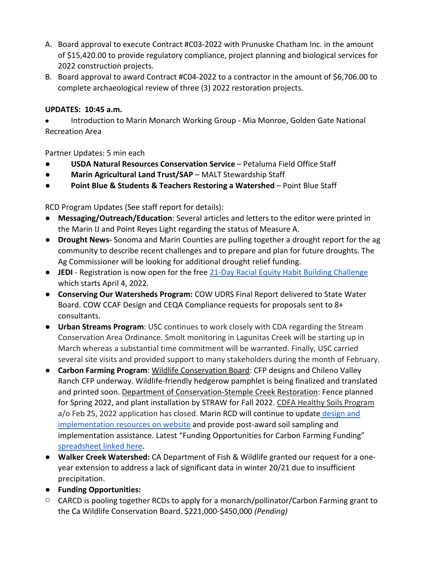- A. Board approval to execute Contract #C03-2022 with Prunuske Chatham Inc. in the amount of \$15,420.00 to provide regulatory compliance, project planning and biological services for 2022 construction projects.
- B. Board approval to award Contract #C04-2022 to a contractor in the amount of \$6,706.00 to complete archaeological review of three (3) 2022 restoration projects.

# **UPDATES: 10:45 a.m.**

• Introduction to Marin Monarch Working Group - Mia Monroe, Golden Gate National Recreation Area

Partner Updates: 5 min each

- **USDA Natural Resources Conservation Service**  Petaluma Field Office Staff
- **Marin Agricultural Land Trust/SAP MALT Stewardship Staff**
- **Point Blue & Students & Teachers Restoring a Watershed** Point Blue Staff

RCD Program Updates (See staff report for details):

- **Messaging/Outreach/Education**: Several articles and letters to the editor were printed in the Marin IJ and Point Reyes Light regarding the status of Measure A.
- **Drought News-** Sonoma and Marin Counties are pulling together a drought report for the ag community to describe recent challenges and to prepare and plan for future droughts. The Ag Commissioner will be looking for additional drought relief funding.
- **JEDI**  Registration is now open for the free [21-Day Racial Equity Habit Building Challenge](https://foodsolutionsne.org/21-day-racial-equity-habit-building-challenge/?utm_source=Food+Solutions+New+England+Mailing+List&utm_campaign=07ff9d6a6d-EMAIL_CAMPAIGN_3_20_2019_5_57_COPY_01&utm_medium=email&utm_term=0_462281e2ff-07ff9d6a6d-447779796) which starts April 4, 2022.
- **Conserving Our Watersheds Program:** COW UDRS Final Report delivered to State Water Board. COW CCAF Design and CEQA Compliance requests for proposals sent to 8+ consultants.
- **Urban Streams Program**: USC continues to work closely with CDA regarding the Stream Conservation Area Ordinance. Smolt monitoring in Lagunitas Creek will be starting up in March whereas a substantial time commitment will be warranted. Finally, USC carried several site visits and provided support to many stakeholders during the month of February.
- **Carbon Farming Program**: Wildlife Conservation Board: CFP designs and Chileno Valley Ranch CFP underway. Wildlife-friendly hedgerow pamphlet is being finalized and translated and printed soon. Department of Conservation-Stemple Creek Restoration: Fence planned for Spring 2022, and plant installation by STRAW for Fall 2022. CDFA Healthy Soils Program a/o Feb 25, 2022 application has closed. Marin RCD will continue to update design and [implementation resources on website](https://www.marinrcd.org/carbon-farm-implementation/) and provide post-award soil sampling and implementation assistance. Latest "Funding Opportunities for Carbon Farming Funding" [spreadsheet linked here.](https://www.marinrcd.org/wp/wp-content/uploads/2022/02/Funding-for-Carbon-Farming-in-Marin_Feb2022update1.pdf)
- **Walker Creek Watershed:** CA Department of Fish & Wildlife granted our request for a oneyear extension to address a lack of significant data in winter 20/21 due to insufficient precipitation.
- **Funding Opportunities:**
- o CARCD is pooling together RCDs to apply for a monarch/pollinator/Carbon Farming grant to the Ca Wildlife Conservation Board. \$221,000-\$450,000 *(Pending)*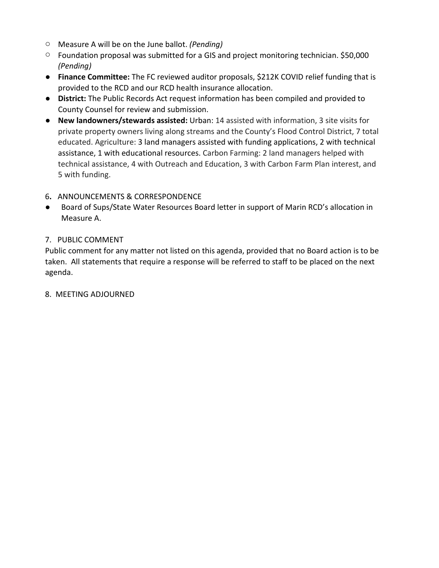- o Measure A will be on the June ballot. *(Pending)*
- o Foundation proposal was submitted for a GIS and project monitoring technician. \$50,000 *(Pending)*
- **Finance Committee:** The FC reviewed auditor proposals, \$212K COVID relief funding that is provided to the RCD and our RCD health insurance allocation.
- **District:** The Public Records Act request information has been compiled and provided to County Counsel for review and submission.
- **New landowners/stewards assisted:** Urban: 14 assisted with information, 3 site visits for private property owners living along streams and the County's Flood Control District, 7 total educated. Agriculture: 3 land managers assisted with funding applications, 2 with technical assistance, 1 with educational resources. Carbon Farming: 2 land managers helped with technical assistance, 4 with Outreach and Education, 3 with Carbon Farm Plan interest, and 5 with funding.
- 6**.** ANNOUNCEMENTS & CORRESPONDENCE
- Board of Sups/State Water Resources Board letter in support of Marin RCD's allocation in Measure A.

# 7. PUBLIC COMMENT

Public comment for any matter not listed on this agenda, provided that no Board action is to be taken. All statements that require a response will be referred to staff to be placed on the next agenda.

# 8. MEETING ADJOURNED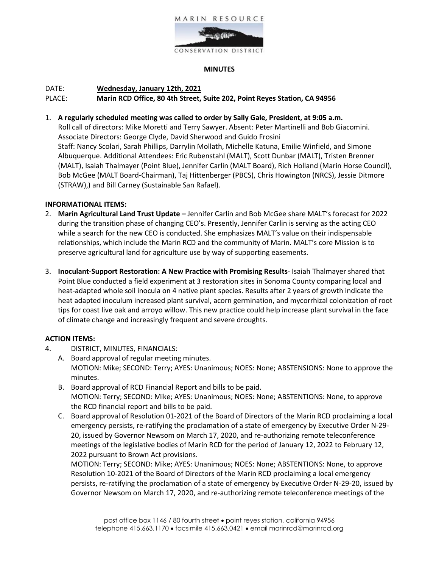



#### **MINUTES**

# DATE: **Wednesday, January 12th, 2021** PLACE: **Marin RCD Office, 80 4th Street, Suite 202, Point Reyes Station, CA 94956**

1. **A regularly scheduled meeting was called to order by Sally Gale, President, at 9:05 a.m.** Roll call of directors: Mike Moretti and Terry Sawyer. Absent: Peter Martinelli and Bob Giacomini. Associate Directors: George Clyde, David Sherwood and Guido Frosini Staff: Nancy Scolari, Sarah Phillips, Darrylin Mollath, Michelle Katuna, Emilie Winfield, and Simone Albuquerque. Additional Attendees: Eric Rubenstahl (MALT), Scott Dunbar (MALT), Tristen Brenner (MALT), Isaiah Thalmayer (Point Blue), Jennifer Carlin (MALT Board), Rich Holland (Marin Horse Council), Bob McGee (MALT Board-Chairman), Taj Hittenberger (PBCS), Chris Howington (NRCS), Jessie Ditmore (STRAW),) and Bill Carney (Sustainable San Rafael).

### **INFORMATIONAL ITEMS:**

- 2. **Marin Agricultural Land Trust Update –** Jennifer Carlin and Bob McGee share MALT's forecast for 2022 during the transition phase of changing CEO's. Presently, Jennifer Carlin is serving as the acting CEO while a search for the new CEO is conducted. She emphasizes MALT's value on their indispensable relationships, which include the Marin RCD and the community of Marin. MALT's core Mission is to preserve agricultural land for agriculture use by way of supporting easements.
- 3. **Inoculant-Support Restoration: A New Practice with Promising Results** Isaiah Thalmayer shared that Point Blue conducted a field experiment at 3 restoration sites in Sonoma County comparing local and heat-adapted whole soil inocula on 4 native plant species. Results after 2 years of growth indicate the heat adapted inoculum increased plant survival, acorn germination, and mycorrhizal colonization of root tips for coast live oak and arroyo willow. This new practice could help increase plant survival in the face of climate change and increasingly frequent and severe droughts.

### **ACTION ITEMS:**

- 4. DISTRICT, MINUTES, FINANCIALS:
	- A. Board approval of regular meeting minutes. MOTION: Mike; SECOND: Terry; AYES: Unanimous; NOES: None; ABSTENSIONS: None to approve the minutes.
	- B. Board approval of RCD Financial Report and bills to be paid. MOTION: Terry; SECOND: Mike; AYES: Unanimous; NOES: None; ABSTENTIONS: None, to approve the RCD financial report and bills to be paid.
	- C. Board approval of Resolution 01-2021 of the Board of Directors of the Marin RCD proclaiming a local emergency persists, re-ratifying the proclamation of a state of emergency by Executive Order N-29- 20, issued by Governor Newsom on March 17, 2020, and re-authorizing remote teleconference meetings of the legislative bodies of Marin RCD for the period of January 12, 2022 to February 12, 2022 pursuant to Brown Act provisions.

MOTION: Terry; SECOND: Mike; AYES: Unanimous; NOES: None; ABSTENTIONS: None, to approve Resolution 10-2021 of the Board of Directors of the Marin RCD proclaiming a local emergency persists, re-ratifying the proclamation of a state of emergency by Executive Order N-29-20, issued by Governor Newsom on March 17, 2020, and re-authorizing remote teleconference meetings of the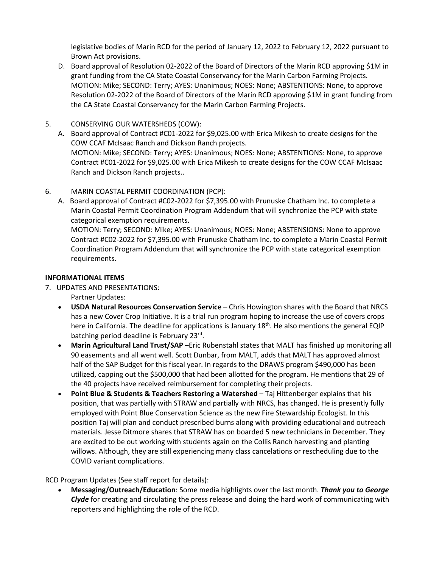legislative bodies of Marin RCD for the period of January 12, 2022 to February 12, 2022 pursuant to Brown Act provisions.

- D. Board approval of Resolution 02-2022 of the Board of Directors of the Marin RCD approving \$1M in grant funding from the CA State Coastal Conservancy for the Marin Carbon Farming Projects. MOTION: Mike; SECOND: Terry; AYES: Unanimous; NOES: None; ABSTENTIONS: None, to approve Resolution 02-2022 of the Board of Directors of the Marin RCD approving \$1M in grant funding from the CA State Coastal Conservancy for the Marin Carbon Farming Projects.
- 5. CONSERVING OUR WATERSHEDS (COW):
	- A. Board approval of Contract #C01-2022 for \$9,025.00 with Erica Mikesh to create designs for the COW CCAF McIsaac Ranch and Dickson Ranch projects. MOTION: Mike; SECOND: Terry; AYES: Unanimous; NOES: None; ABSTENTIONS: None, to approve Contract #C01-2022 for \$9,025.00 with Erica Mikesh to create designs for the COW CCAF McIsaac Ranch and Dickson Ranch projects..
- 6. MARIN COASTAL PERMIT COORDINATION (PCP):
	- A. Board approval of Contract #C02-2022 for \$7,395.00 with Prunuske Chatham Inc. to complete a Marin Coastal Permit Coordination Program Addendum that will synchronize the PCP with state categorical exemption requirements.

MOTION: Terry; SECOND: Mike; AYES: Unanimous; NOES: None; ABSTENSIONS: None to approve Contract #C02-2022 for \$7,395.00 with Prunuske Chatham Inc. to complete a Marin Coastal Permit Coordination Program Addendum that will synchronize the PCP with state categorical exemption requirements.

### **INFORMATIONAL ITEMS**

7. UPDATES AND PRESENTATIONS:

Partner Updates:

- **USDA Natural Resources Conservation Service**  Chris Howington shares with the Board that NRCS has a new Cover Crop Initiative. It is a trial run program hoping to increase the use of covers crops here in California. The deadline for applications is January 18<sup>th</sup>. He also mentions the general EQIP batching period deadline is February 23rd.
- **Marin Agricultural Land Trust/SAP** –Eric Rubenstahl states that MALT has finished up monitoring all 90 easements and all went well. Scott Dunbar, from MALT, adds that MALT has approved almost half of the SAP Budget for this fiscal year. In regards to the DRAWS program \$490,000 has been utilized, capping out the \$500,000 that had been allotted for the program. He mentions that 29 of the 40 projects have received reimbursement for completing their projects.
- **Point Blue & Students & Teachers Restoring a Watershed** Taj Hittenberger explains that his position, that was partially with STRAW and partially with NRCS, has changed. He is presently fully employed with Point Blue Conservation Science as the new Fire Stewardship Ecologist. In this position Taj will plan and conduct prescribed burns along with providing educational and outreach materials. Jesse Ditmore shares that STRAW has on boarded 5 new technicians in December. They are excited to be out working with students again on the Collis Ranch harvesting and planting willows. Although, they are still experiencing many class cancelations or rescheduling due to the COVID variant complications.

RCD Program Updates (See staff report for details):

• **Messaging/Outreach/Education**: Some media highlights over the last month. *Thank you to George Clyde* for creating and circulating the press release and doing the hard work of communicating with reporters and highlighting the role of the RCD.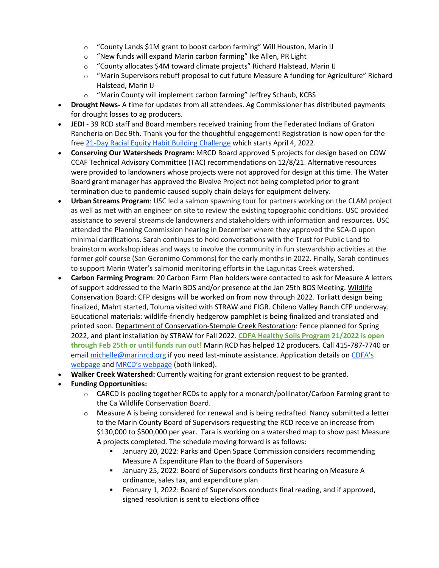- $\circ$  "County Lands \$1M grant to boost carbon farming" Will Houston, Marin IJ
- o "New funds will expand Marin carbon farming" Ike Allen, PR Light
- o "County allocates \$4M toward climate projects" Richard Halstead, Marin IJ
- $\circ$  "Marin Supervisors rebuff proposal to cut future Measure A funding for Agriculture" Richard Halstead, Marin IJ
- o "Marin County will implement carbon farming" Jeffrey Schaub, KCBS
- **Drought News-** A time for updates from all attendees. Ag Commissioner has distributed payments for drought losses to ag producers.
- **JEDI**  39 RCD staff and Board members received training from the Federated Indians of Graton Rancheria on Dec 9th. Thank you for the thoughtful engagement! Registration is now open for the fre[e 21-Day Racial Equity Habit Building Challenge](https://foodsolutionsne.org/21-day-racial-equity-habit-building-challenge/?utm_source=Food+Solutions+New+England+Mailing+List&utm_campaign=07ff9d6a6d-EMAIL_CAMPAIGN_3_20_2019_5_57_COPY_01&utm_medium=email&utm_term=0_462281e2ff-07ff9d6a6d-447779796) which starts April 4, 2022.
- **Conserving Our Watersheds Program:** MRCD Board approved 5 projects for design based on COW CCAF Technical Advisory Committee (TAC) recommendations on 12/8/21. Alternative resources were provided to landowners whose projects were not approved for design at this time. The Water Board grant manager has approved the Bivalve Project not being completed prior to grant termination due to pandemic-caused supply chain delays for equipment delivery.
- **Urban Streams Program**: USC led a salmon spawning tour for partners working on the CLAM project as well as met with an engineer on site to review the existing topographic conditions. USC provided assistance to several streamside landowners and stakeholders with information and resources. USC attended the Planning Commission hearing in December where they approved the SCA-O upon minimal clarifications. Sarah continues to hold conversations with the Trust for Public Land to brainstorm workshop ideas and ways to involve the community in fun stewardship activities at the former golf course (San Geronimo Commons) for the early months in 2022. Finally, Sarah continues to support Marin Water's salmonid monitoring efforts in the Lagunitas Creek watershed.
- **Carbon Farming Program**: 20 Carbon Farm Plan holders were contacted to ask for Measure A letters of support addressed to the Marin BOS and/or presence at the Jan 25th BOS Meeting. Wildlife Conservation Board: CFP designs will be worked on from now through 2022. Torliatt design being finalized, Mahrt started, Toluma visited with STRAW and FIGR. Chileno Valley Ranch CFP underway. Educational materials: wildlife-friendly hedgerow pamphlet is being finalized and translated and printed soon. Department of Conservation-Stemple Creek Restoration: Fence planned for Spring 2022, and plant installation by STRAW for Fall 2022. **CDFA Healthy Soils Program 21/2022 is open through Feb 25th or until funds run out!** Marin RCD has helped 12 producers. Call 415-787-7740 or email [michelle@marinrcd.org](mailto:michelle@marinrcd.org) if you need last-minute assistance. Application details on CDFA's [webpage](https://www.cdfa.ca.gov/oefi/healthysoils/IncentivesProgram.html) an[d MRCD's webpage](https://www.marinrcd.org/programs/cdfa-healthy-soils/) (both linked).
- **Walker Creek Watershed:** Currently waiting for grant extension request to be granted.
- **Funding Opportunities:**
	- $\circ$  CARCD is pooling together RCDs to apply for a monarch/pollinator/Carbon Farming grant to the Ca Wildlife Conservation Board.
	- $\circ$  Measure A is being considered for renewal and is being redrafted. Nancy submitted a letter to the Marin County Board of Supervisors requesting the RCD receive an increase from \$130,000 to \$500,000 per year. Tara is working on a watershed map to show past Measure A projects completed. The schedule moving forward is as follows:
		- January 20, 2022: Parks and Open Space Commission considers recommending Measure A Expenditure Plan to the Board of Supervisors
		- January 25, 2022: Board of Supervisors conducts first hearing on Measure A ordinance, sales tax, and expenditure plan
		- February 1, 2022: Board of Supervisors conducts final reading, and if approved, signed resolution is sent to elections office